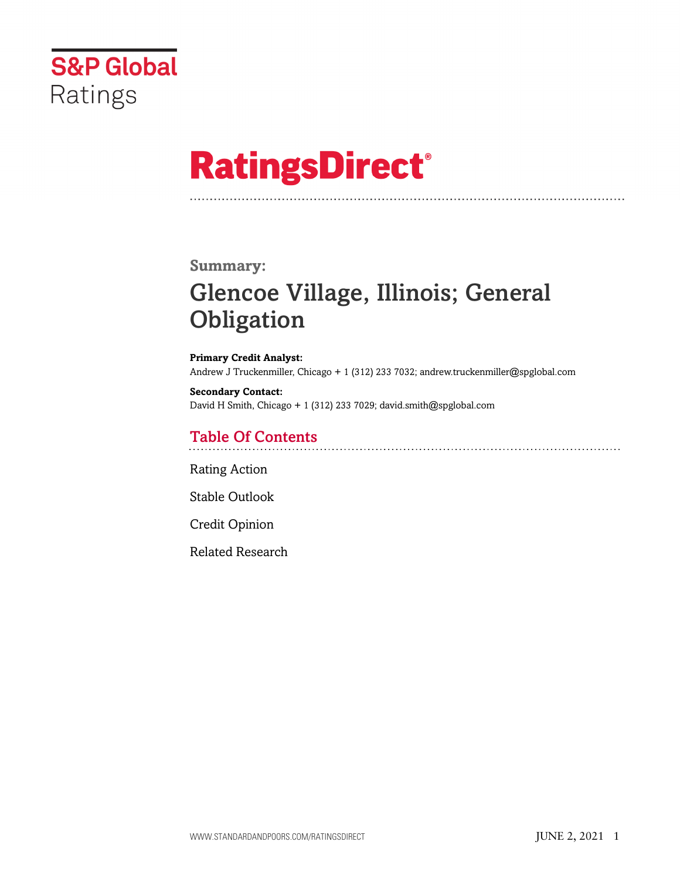

# **RatingsDirect®**

### **Summary:**

# Glencoe Village, Illinois; General **Obligation**

**Primary Credit Analyst:** Andrew J Truckenmiller, Chicago + 1 (312) 233 7032; andrew.truckenmiller@spglobal.com

**Secondary Contact:** David H Smith, Chicago + 1 (312) 233 7029; david.smith@spglobal.com

# Table Of Contents

[Rating Action](#page-1-0)

[Stable Outlook](#page-2-0)

[Credit Opinion](#page-2-1)

[Related Research](#page-5-0)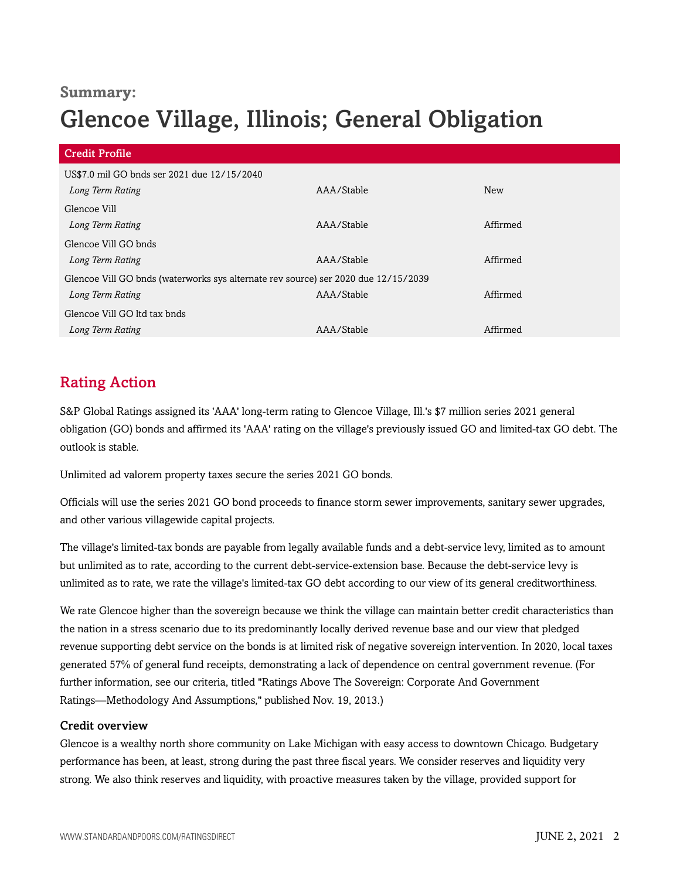# **Summary:**

# Glencoe Village, Illinois; General Obligation

| <b>Credit Profile</b>                                                              |            |            |
|------------------------------------------------------------------------------------|------------|------------|
| US\$7.0 mil GO bnds ser 2021 due 12/15/2040                                        |            |            |
| Long Term Rating                                                                   | AAA/Stable | <b>New</b> |
| Glencoe Vill                                                                       |            |            |
| Long Term Rating                                                                   | AAA/Stable | Affirmed   |
| Glencoe Vill GO bnds                                                               |            |            |
| Long Term Rating                                                                   | AAA/Stable | Affirmed   |
| Glencoe Vill GO bnds (waterworks sys alternate rev source) ser 2020 due 12/15/2039 |            |            |
| Long Term Rating                                                                   | AAA/Stable | Affirmed   |
| Glencoe Vill GO ltd tax bnds                                                       |            |            |
| Long Term Rating                                                                   | AAA/Stable | Affirmed   |

# <span id="page-1-0"></span>Rating Action

S&P Global Ratings assigned its 'AAA' long-term rating to Glencoe Village, Ill.'s \$7 million series 2021 general obligation (GO) bonds and affirmed its 'AAA' rating on the village's previously issued GO and limited-tax GO debt. The outlook is stable.

Unlimited ad valorem property taxes secure the series 2021 GO bonds.

Officials will use the series 2021 GO bond proceeds to finance storm sewer improvements, sanitary sewer upgrades, and other various villagewide capital projects.

The village's limited-tax bonds are payable from legally available funds and a debt-service levy, limited as to amount but unlimited as to rate, according to the current debt-service-extension base. Because the debt-service levy is unlimited as to rate, we rate the village's limited-tax GO debt according to our view of its general creditworthiness.

We rate Glencoe higher than the sovereign because we think the village can maintain better credit characteristics than the nation in a stress scenario due to its predominantly locally derived revenue base and our view that pledged revenue supporting debt service on the bonds is at limited risk of negative sovereign intervention. In 2020, local taxes generated 57% of general fund receipts, demonstrating a lack of dependence on central government revenue. (For further information, see our criteria, titled "Ratings Above The Sovereign: Corporate And Government Ratings—Methodology And Assumptions," published Nov. 19, 2013.)

#### Credit overview

Glencoe is a wealthy north shore community on Lake Michigan with easy access to downtown Chicago. Budgetary performance has been, at least, strong during the past three fiscal years. We consider reserves and liquidity very strong. We also think reserves and liquidity, with proactive measures taken by the village, provided support for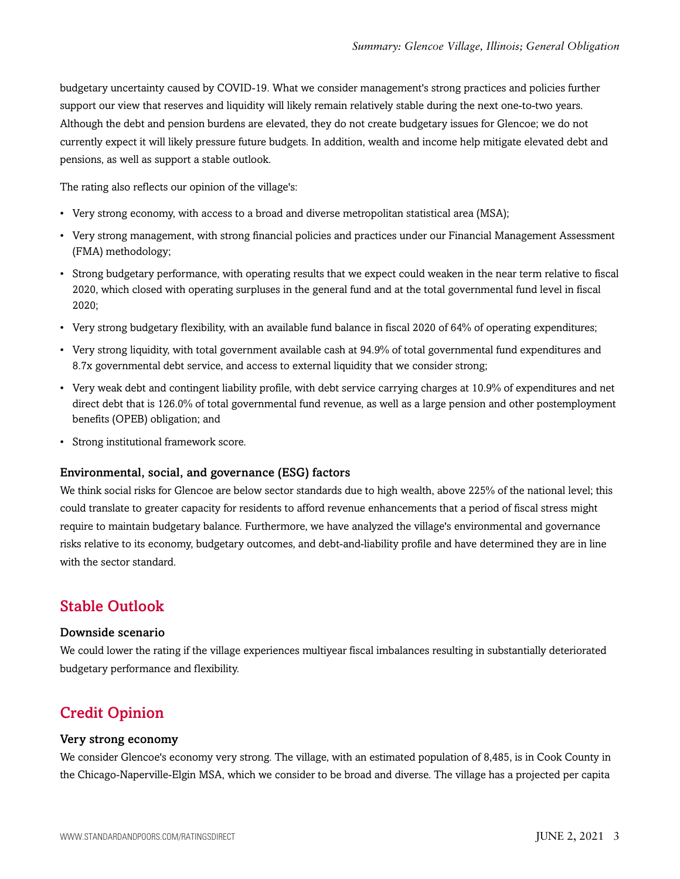budgetary uncertainty caused by COVID-19. What we consider management's strong practices and policies further support our view that reserves and liquidity will likely remain relatively stable during the next one-to-two years. Although the debt and pension burdens are elevated, they do not create budgetary issues for Glencoe; we do not currently expect it will likely pressure future budgets. In addition, wealth and income help mitigate elevated debt and pensions, as well as support a stable outlook.

The rating also reflects our opinion of the village's:

- Very strong economy, with access to a broad and diverse metropolitan statistical area (MSA);
- Very strong management, with strong financial policies and practices under our Financial Management Assessment (FMA) methodology;
- Strong budgetary performance, with operating results that we expect could weaken in the near term relative to fiscal 2020, which closed with operating surpluses in the general fund and at the total governmental fund level in fiscal 2020;
- Very strong budgetary flexibility, with an available fund balance in fiscal 2020 of 64% of operating expenditures;
- Very strong liquidity, with total government available cash at 94.9% of total governmental fund expenditures and 8.7x governmental debt service, and access to external liquidity that we consider strong;
- Very weak debt and contingent liability profile, with debt service carrying charges at 10.9% of expenditures and net direct debt that is 126.0% of total governmental fund revenue, as well as a large pension and other postemployment benefits (OPEB) obligation; and
- Strong institutional framework score.

#### Environmental, social, and governance (ESG) factors

We think social risks for Glencoe are below sector standards due to high wealth, above 225% of the national level; this could translate to greater capacity for residents to afford revenue enhancements that a period of fiscal stress might require to maintain budgetary balance. Furthermore, we have analyzed the village's environmental and governance risks relative to its economy, budgetary outcomes, and debt-and-liability profile and have determined they are in line with the sector standard.

### <span id="page-2-0"></span>Stable Outlook

#### Downside scenario

We could lower the rating if the village experiences multiyear fiscal imbalances resulting in substantially deteriorated budgetary performance and flexibility.

# <span id="page-2-1"></span>Credit Opinion

#### Very strong economy

We consider Glencoe's economy very strong. The village, with an estimated population of 8,485, is in Cook County in the Chicago-Naperville-Elgin MSA, which we consider to be broad and diverse. The village has a projected per capita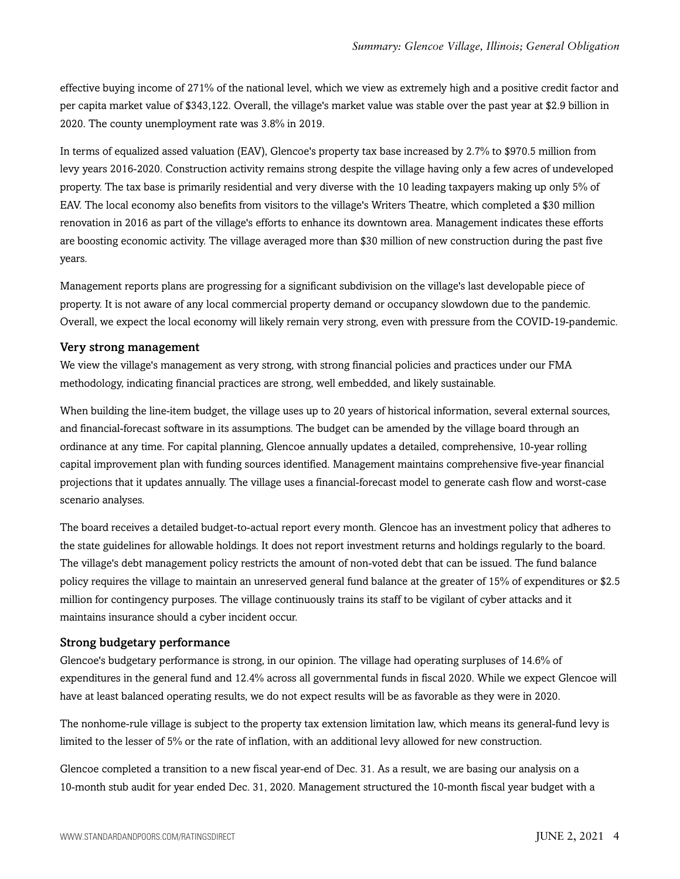effective buying income of 271% of the national level, which we view as extremely high and a positive credit factor and per capita market value of \$343,122. Overall, the village's market value was stable over the past year at \$2.9 billion in 2020. The county unemployment rate was 3.8% in 2019.

In terms of equalized assed valuation (EAV), Glencoe's property tax base increased by 2.7% to \$970.5 million from levy years 2016-2020. Construction activity remains strong despite the village having only a few acres of undeveloped property. The tax base is primarily residential and very diverse with the 10 leading taxpayers making up only 5% of EAV. The local economy also benefits from visitors to the village's Writers Theatre, which completed a \$30 million renovation in 2016 as part of the village's efforts to enhance its downtown area. Management indicates these efforts are boosting economic activity. The village averaged more than \$30 million of new construction during the past five years.

Management reports plans are progressing for a significant subdivision on the village's last developable piece of property. It is not aware of any local commercial property demand or occupancy slowdown due to the pandemic. Overall, we expect the local economy will likely remain very strong, even with pressure from the COVID-19-pandemic.

#### Very strong management

We view the village's management as very strong, with strong financial policies and practices under our FMA methodology, indicating financial practices are strong, well embedded, and likely sustainable.

When building the line-item budget, the village uses up to 20 years of historical information, several external sources, and financial-forecast software in its assumptions. The budget can be amended by the village board through an ordinance at any time. For capital planning, Glencoe annually updates a detailed, comprehensive, 10-year rolling capital improvement plan with funding sources identified. Management maintains comprehensive five-year financial projections that it updates annually. The village uses a financial-forecast model to generate cash flow and worst-case scenario analyses.

The board receives a detailed budget-to-actual report every month. Glencoe has an investment policy that adheres to the state guidelines for allowable holdings. It does not report investment returns and holdings regularly to the board. The village's debt management policy restricts the amount of non-voted debt that can be issued. The fund balance policy requires the village to maintain an unreserved general fund balance at the greater of 15% of expenditures or \$2.5 million for contingency purposes. The village continuously trains its staff to be vigilant of cyber attacks and it maintains insurance should a cyber incident occur.

#### Strong budgetary performance

Glencoe's budgetary performance is strong, in our opinion. The village had operating surpluses of 14.6% of expenditures in the general fund and 12.4% across all governmental funds in fiscal 2020. While we expect Glencoe will have at least balanced operating results, we do not expect results will be as favorable as they were in 2020.

The nonhome-rule village is subject to the property tax extension limitation law, which means its general-fund levy is limited to the lesser of 5% or the rate of inflation, with an additional levy allowed for new construction.

Glencoe completed a transition to a new fiscal year-end of Dec. 31. As a result, we are basing our analysis on a 10-month stub audit for year ended Dec. 31, 2020. Management structured the 10-month fiscal year budget with a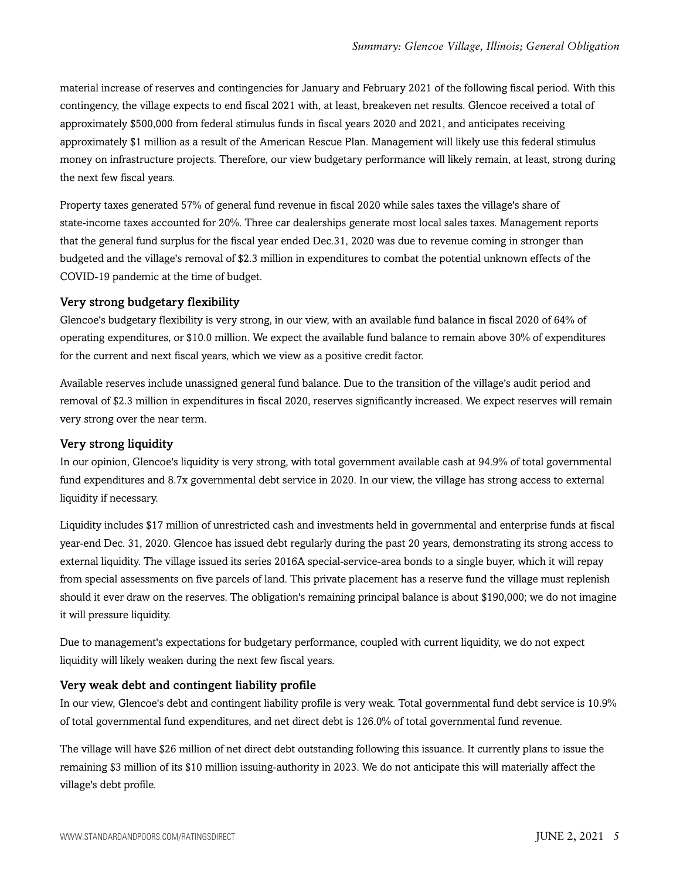material increase of reserves and contingencies for January and February 2021 of the following fiscal period. With this contingency, the village expects to end fiscal 2021 with, at least, breakeven net results. Glencoe received a total of approximately \$500,000 from federal stimulus funds in fiscal years 2020 and 2021, and anticipates receiving approximately \$1 million as a result of the American Rescue Plan. Management will likely use this federal stimulus money on infrastructure projects. Therefore, our view budgetary performance will likely remain, at least, strong during the next few fiscal years.

Property taxes generated 57% of general fund revenue in fiscal 2020 while sales taxes the village's share of state-income taxes accounted for 20%. Three car dealerships generate most local sales taxes. Management reports that the general fund surplus for the fiscal year ended Dec.31, 2020 was due to revenue coming in stronger than budgeted and the village's removal of \$2.3 million in expenditures to combat the potential unknown effects of the COVID-19 pandemic at the time of budget.

#### Very strong budgetary flexibility

Glencoe's budgetary flexibility is very strong, in our view, with an available fund balance in fiscal 2020 of 64% of operating expenditures, or \$10.0 million. We expect the available fund balance to remain above 30% of expenditures for the current and next fiscal years, which we view as a positive credit factor.

Available reserves include unassigned general fund balance. Due to the transition of the village's audit period and removal of \$2.3 million in expenditures in fiscal 2020, reserves significantly increased. We expect reserves will remain very strong over the near term.

#### Very strong liquidity

In our opinion, Glencoe's liquidity is very strong, with total government available cash at 94.9% of total governmental fund expenditures and 8.7x governmental debt service in 2020. In our view, the village has strong access to external liquidity if necessary.

Liquidity includes \$17 million of unrestricted cash and investments held in governmental and enterprise funds at fiscal year-end Dec. 31, 2020. Glencoe has issued debt regularly during the past 20 years, demonstrating its strong access to external liquidity. The village issued its series 2016A special-service-area bonds to a single buyer, which it will repay from special assessments on five parcels of land. This private placement has a reserve fund the village must replenish should it ever draw on the reserves. The obligation's remaining principal balance is about \$190,000; we do not imagine it will pressure liquidity.

Due to management's expectations for budgetary performance, coupled with current liquidity, we do not expect liquidity will likely weaken during the next few fiscal years.

#### Very weak debt and contingent liability profile

In our view, Glencoe's debt and contingent liability profile is very weak. Total governmental fund debt service is 10.9% of total governmental fund expenditures, and net direct debt is 126.0% of total governmental fund revenue.

The village will have \$26 million of net direct debt outstanding following this issuance. It currently plans to issue the remaining \$3 million of its \$10 million issuing-authority in 2023. We do not anticipate this will materially affect the village's debt profile.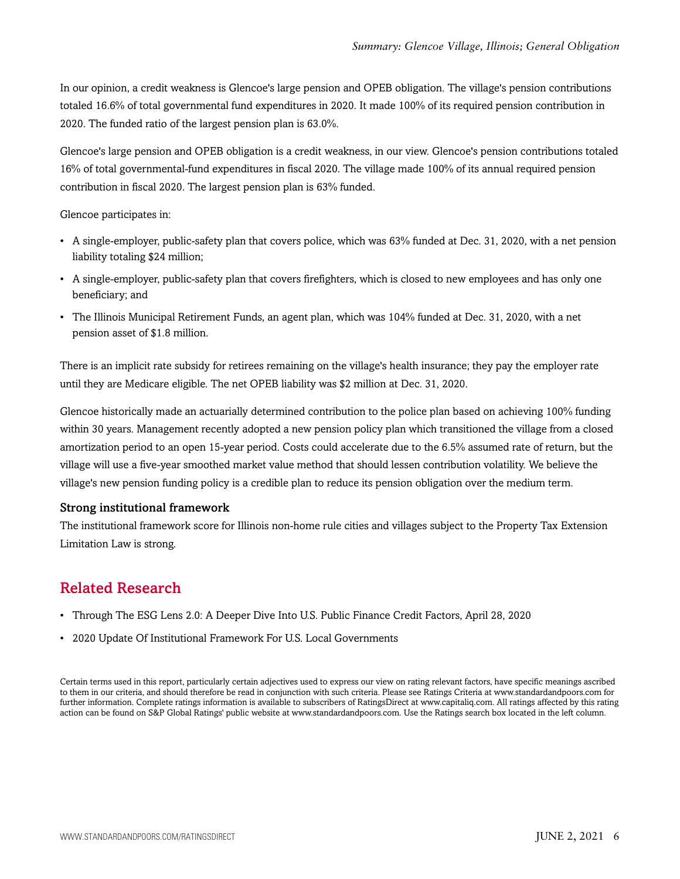In our opinion, a credit weakness is Glencoe's large pension and OPEB obligation. The village's pension contributions totaled 16.6% of total governmental fund expenditures in 2020. It made 100% of its required pension contribution in 2020. The funded ratio of the largest pension plan is 63.0%.

Glencoe's large pension and OPEB obligation is a credit weakness, in our view. Glencoe's pension contributions totaled 16% of total governmental-fund expenditures in fiscal 2020. The village made 100% of its annual required pension contribution in fiscal 2020. The largest pension plan is 63% funded.

Glencoe participates in:

- A single-employer, public-safety plan that covers police, which was 63% funded at Dec. 31, 2020, with a net pension liability totaling \$24 million;
- A single-employer, public-safety plan that covers firefighters, which is closed to new employees and has only one beneficiary; and
- The Illinois Municipal Retirement Funds, an agent plan, which was 104% funded at Dec. 31, 2020, with a net pension asset of \$1.8 million.

There is an implicit rate subsidy for retirees remaining on the village's health insurance; they pay the employer rate until they are Medicare eligible. The net OPEB liability was \$2 million at Dec. 31, 2020.

Glencoe historically made an actuarially determined contribution to the police plan based on achieving 100% funding within 30 years. Management recently adopted a new pension policy plan which transitioned the village from a closed amortization period to an open 15-year period. Costs could accelerate due to the 6.5% assumed rate of return, but the village will use a five-year smoothed market value method that should lessen contribution volatility. We believe the village's new pension funding policy is a credible plan to reduce its pension obligation over the medium term.

#### Strong institutional framework

The institutional framework score for Illinois non-home rule cities and villages subject to the Property Tax Extension Limitation Law is strong.

# <span id="page-5-0"></span>Related Research

- Through The ESG Lens 2.0: A Deeper Dive Into U.S. Public Finance Credit Factors, April 28, 2020
- 2020 Update Of Institutional Framework For U.S. Local Governments

Certain terms used in this report, particularly certain adjectives used to express our view on rating relevant factors, have specific meanings ascribed to them in our criteria, and should therefore be read in conjunction with such criteria. Please see Ratings Criteria at www.standardandpoors.com for further information. Complete ratings information is available to subscribers of RatingsDirect at www.capitaliq.com. All ratings affected by this rating action can be found on S&P Global Ratings' public website at www.standardandpoors.com. Use the Ratings search box located in the left column.